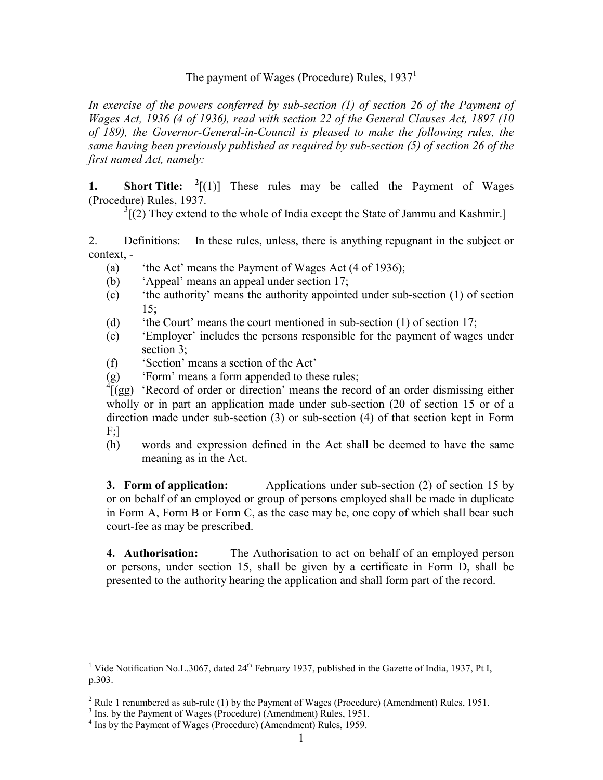### The payment of Wages (Procedure) Rules,  $1937<sup>1</sup>$

In exercise of the powers conferred by sub-section (1) of section 26 of the Payment of Wages Act, 1936 (4 of 1936), read with section 22 of the General Clauses Act, 1897 (10 of 189), the Governor-General-in-Council is pleased to make the following rules, the same having been previously published as required by sub-section (5) of section 26 of the first named Act, namely:

**1.** Short Title:  $^{2}$ [(1)] These rules may be called the Payment of Wages (Procedure) Rules, 1937.

 $3$ [(2) They extend to the whole of India except the State of Jammu and Kashmir.]

2. Definitions: In these rules, unless, there is anything repugnant in the subject or context, -

- (a) 'the Act' means the Payment of Wages Act (4 of 1936);
- (b) 'Appeal' means an appeal under section 17;
- (c) 'the authority' means the authority appointed under sub-section (1) of section 15;
- (d) 'the Court' means the court mentioned in sub-section (1) of section 17;
- (e) 'Employer' includes the persons responsible for the payment of wages under section 3:
- (f) 'Section' means a section of the Act'
- (g) 'Form' means a form appended to these rules;

 ${}^{4}$ [(gg) 'Record of order or direction' means the record of an order dismissing either wholly or in part an application made under sub-section (20 of section 15 or of a direction made under sub-section (3) or sub-section (4) of that section kept in Form  $F$ ;]

(h) words and expression defined in the Act shall be deemed to have the same meaning as in the Act.

3. Form of application: Applications under sub-section (2) of section 15 by or on behalf of an employed or group of persons employed shall be made in duplicate in Form A, Form B or Form C, as the case may be, one copy of which shall bear such court-fee as may be prescribed.

4. Authorisation: The Authorisation to act on behalf of an employed person or persons, under section 15, shall be given by a certificate in Form D, shall be presented to the authority hearing the application and shall form part of the record.

<sup>&</sup>lt;sup>1</sup> Vide Notification No.L.3067, dated 24<sup>th</sup> February 1937, published in the Gazette of India, 1937, Pt I, p.303.

<sup>&</sup>lt;sup>2</sup> Rule 1 renumbered as sub-rule (1) by the Payment of Wages (Procedure) (Amendment) Rules, 1951.

<sup>&</sup>lt;sup>3</sup> Ins. by the Payment of Wages (Procedure) (Amendment) Rules, 1951.

<sup>4</sup> Ins by the Payment of Wages (Procedure) (Amendment) Rules, 1959.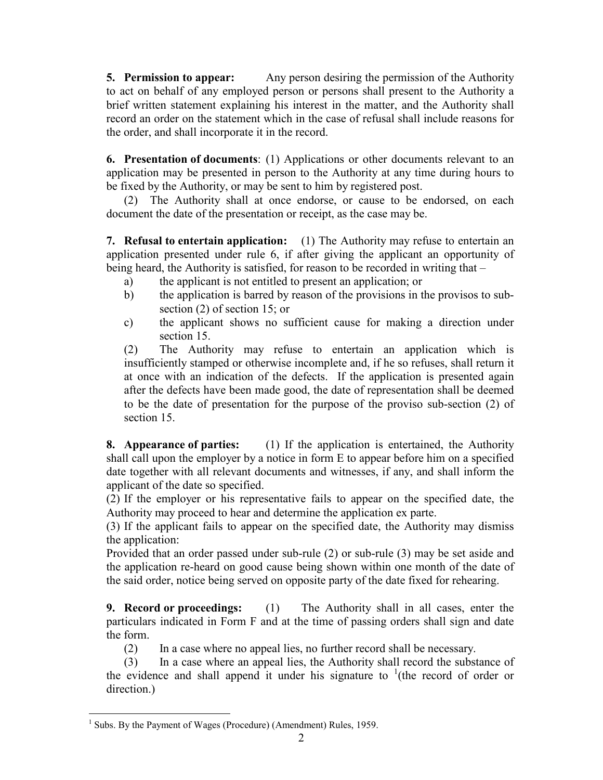5. Permission to appear: Any person desiring the permission of the Authority to act on behalf of any employed person or persons shall present to the Authority a brief written statement explaining his interest in the matter, and the Authority shall record an order on the statement which in the case of refusal shall include reasons for the order, and shall incorporate it in the record.

6. Presentation of documents: (1) Applications or other documents relevant to an application may be presented in person to the Authority at any time during hours to be fixed by the Authority, or may be sent to him by registered post.

(2) The Authority shall at once endorse, or cause to be endorsed, on each document the date of the presentation or receipt, as the case may be.

7. Refusal to entertain application: (1) The Authority may refuse to entertain an application presented under rule 6, if after giving the applicant an opportunity of being heard, the Authority is satisfied, for reason to be recorded in writing that –

- a) the applicant is not entitled to present an application; or
- b) the application is barred by reason of the provisions in the provisos to subsection (2) of section 15; or
- c) the applicant shows no sufficient cause for making a direction under section 15

(2) The Authority may refuse to entertain an application which is insufficiently stamped or otherwise incomplete and, if he so refuses, shall return it at once with an indication of the defects. If the application is presented again after the defects have been made good, the date of representation shall be deemed to be the date of presentation for the purpose of the proviso sub-section (2) of section 15.

8. Appearance of parties: (1) If the application is entertained, the Authority shall call upon the employer by a notice in form E to appear before him on a specified date together with all relevant documents and witnesses, if any, and shall inform the applicant of the date so specified.

(2) If the employer or his representative fails to appear on the specified date, the Authority may proceed to hear and determine the application ex parte.

(3) If the applicant fails to appear on the specified date, the Authority may dismiss the application:

Provided that an order passed under sub-rule (2) or sub-rule (3) may be set aside and the application re-heard on good cause being shown within one month of the date of the said order, notice being served on opposite party of the date fixed for rehearing.

9. Record or proceedings: (1) The Authority shall in all cases, enter the particulars indicated in Form F and at the time of passing orders shall sign and date the form.

(2) In a case where no appeal lies, no further record shall be necessary.

 (3) In a case where an appeal lies, the Authority shall record the substance of the evidence and shall append it under his signature to  $(1)$  (the record of order or direction.)

 $\overline{a}$ <sup>1</sup> Subs. By the Payment of Wages (Procedure) (Amendment) Rules, 1959.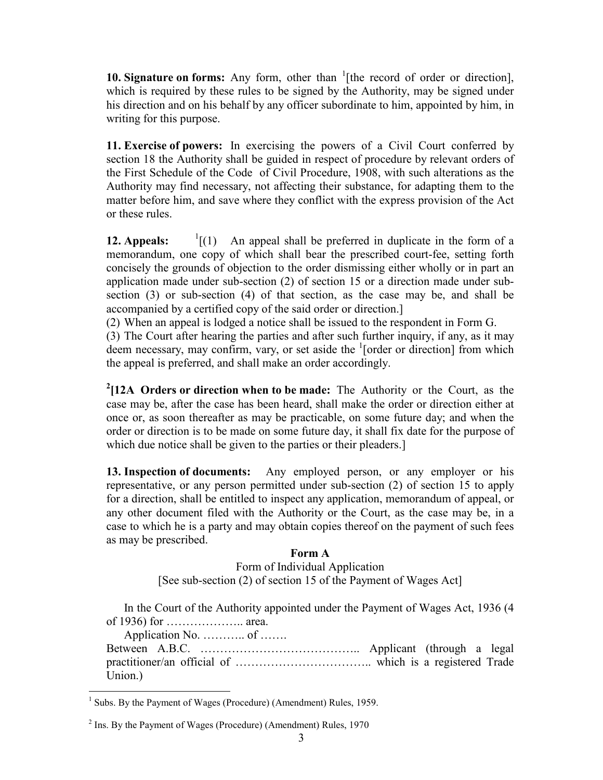**10. Signature on forms:** Any form, other than  $\frac{1}{1}$  [the record of order or direction], which is required by these rules to be signed by the Authority, may be signed under his direction and on his behalf by any officer subordinate to him, appointed by him, in writing for this purpose.

11. Exercise of powers: In exercising the powers of a Civil Court conferred by section 18 the Authority shall be guided in respect of procedure by relevant orders of the First Schedule of the Code of Civil Procedure, 1908, with such alterations as the Authority may find necessary, not affecting their substance, for adapting them to the matter before him, and save where they conflict with the express provision of the Act or these rules.

**12. Appeals:**  $\frac{1}{1}(1)$ An appeal shall be preferred in duplicate in the form of a memorandum, one copy of which shall bear the prescribed court-fee, setting forth concisely the grounds of objection to the order dismissing either wholly or in part an application made under sub-section (2) of section 15 or a direction made under subsection (3) or sub-section (4) of that section, as the case may be, and shall be accompanied by a certified copy of the said order or direction.]

(2) When an appeal is lodged a notice shall be issued to the respondent in Form G.

(3) The Court after hearing the parties and after such further inquiry, if any, as it may deem necessary, may confirm, vary, or set aside the <sup>1</sup>[order or direction] from which the appeal is preferred, and shall make an order accordingly.

<sup>2</sup>[12A Orders or direction when to be made: The Authority or the Court, as the case may be, after the case has been heard, shall make the order or direction either at once or, as soon thereafter as may be practicable, on some future day; and when the order or direction is to be made on some future day, it shall fix date for the purpose of which due notice shall be given to the parties or their pleaders.

13. Inspection of documents: Any employed person, or any employer or his representative, or any person permitted under sub-section (2) of section 15 to apply for a direction, shall be entitled to inspect any application, memorandum of appeal, or any other document filed with the Authority or the Court, as the case may be, in a case to which he is a party and may obtain copies thereof on the payment of such fees as may be prescribed.

#### Form A

Form of Individual Application [See sub-section (2) of section 15 of the Payment of Wages Act]

 In the Court of the Authority appointed under the Payment of Wages Act, 1936 (4 of 1936) for ……………….. area.

Application No. ………... of …….

Between A.B.C. ………………………………….. Applicant (through a legal practitioner/an official of …………………………….. which is a registered Trade Union.)

 1 Subs. By the Payment of Wages (Procedure) (Amendment) Rules, 1959.

 $2^{2}$  Ins. By the Payment of Wages (Procedure) (Amendment) Rules, 1970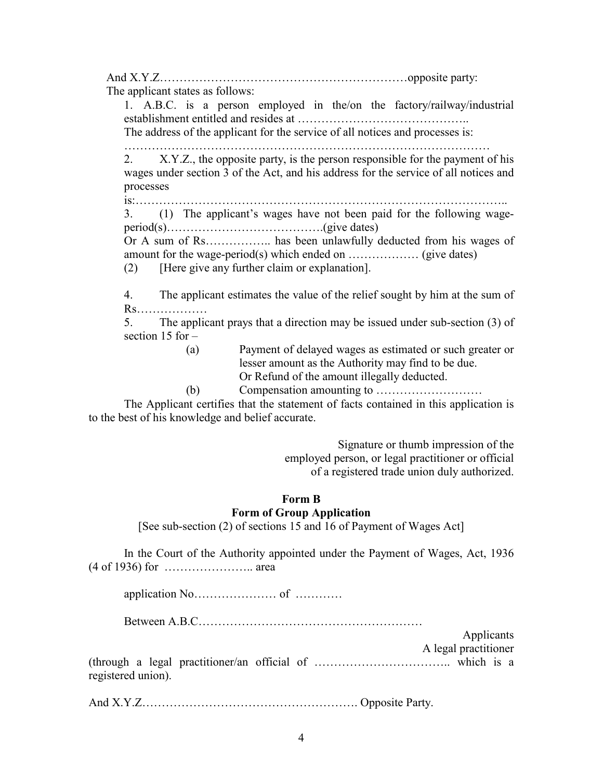And X.Y.Z…………………………………………………………………opposite party:

The applicant states as follows:

1. A.B.C. is a person employed in the/on the factory/railway/industrial establishment entitled and resides at ……………………………………..

The address of the applicant for the service of all notices and processes is:

…………………………………………………………………………………

2. X.Y.Z., the opposite party, is the person responsible for the payment of his wages under section 3 of the Act, and his address for the service of all notices and processes

is:…………………………………………………………………………………..

3. (1) The applicant's wages have not been paid for the following wageperiod(s)………………………………….(give dates)

Or A sum of Rs…………….. has been unlawfully deducted from his wages of amount for the wage-period(s) which ended on ……………… (give dates)

(2) [Here give any further claim or explanation].

4. The applicant estimates the value of the relief sought by him at the sum of Rs………………

5. The applicant prays that a direction may be issued under sub-section (3) of section 15 for –

(a) Payment of delayed wages as estimated or such greater or lesser amount as the Authority may find to be due. Or Refund of the amount illegally deducted.

(b) Compensation amounting to ………………………

 The Applicant certifies that the statement of facts contained in this application is to the best of his knowledge and belief accurate.

> Signature or thumb impression of the employed person, or legal practitioner or official of a registered trade union duly authorized.

# Form B

# Form of Group Application

[See sub-section (2) of sections 15 and 16 of Payment of Wages Act]

 In the Court of the Authority appointed under the Payment of Wages, Act, 1936 (4 of 1936) for ………………….. area

application No………………… of …………

Between A.B.C…………………………………………………

Applicants A legal practitioner (through a legal practitioner/an official of …………………………….. which is a registered union).

And X.Y.Z………………………………………………. Opposite Party.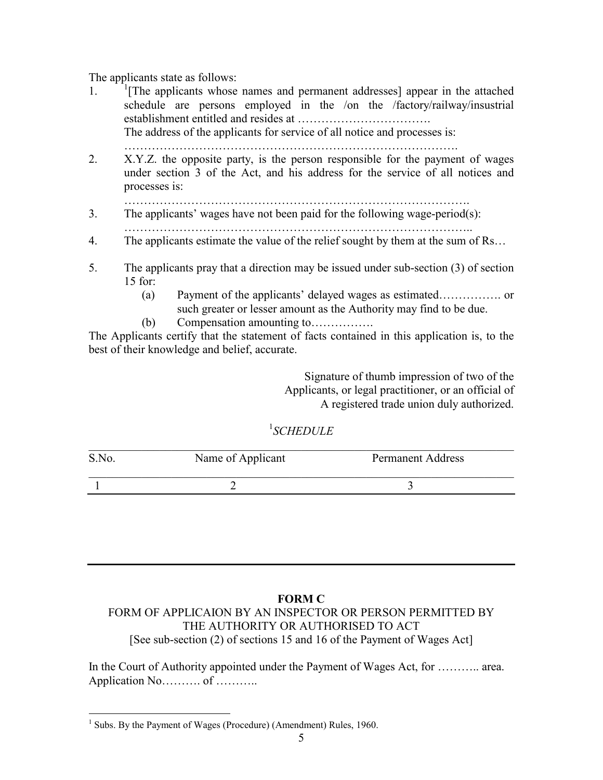The applicants state as follows:

1. <sup>1</sup> <sup>1</sup>[The applicants whose names and permanent addresses] appear in the attached schedule are persons employed in the /on the /factory/railway/insustrial establishment entitled and resides at …………………………….

The address of the applicants for service of all notice and processes is:

………………………………………………………………………….

- 2. X.Y.Z. the opposite party, is the person responsible for the payment of wages under section 3 of the Act, and his address for the service of all notices and processes is:
- …………………………………………………………………………….
- 3. The applicants' wages have not been paid for the following wage-period(s): ……………………………………………………………………………..
- 4. The applicants estimate the value of the relief sought by them at the sum of Rs…
- 5. The applicants pray that a direction may be issued under sub-section (3) of section 15 for:
	- (a) Payment of the applicants' delayed wages as estimated……………. or such greater or lesser amount as the Authority may find to be due.
	- (b) Compensation amounting to…………….

The Applicants certify that the statement of facts contained in this application is, to the best of their knowledge and belief, accurate.

> Signature of thumb impression of two of the Applicants, or legal practitioner, or an official of A registered trade union duly authorized.

# 1 SCHEDULE

| S.No. | Name of Applicant | <b>Permanent Address</b> |
|-------|-------------------|--------------------------|
|       |                   |                          |

## FORM C

## FORM OF APPLICAION BY AN INSPECTOR OR PERSON PERMITTED BY THE AUTHORITY OR AUTHORISED TO ACT [See sub-section (2) of sections 15 and 16 of the Payment of Wages Act]

In the Court of Authority appointed under the Payment of Wages Act, for ……….. area. Application No……….. of …………

 $\overline{a}$ <sup>1</sup> Subs. By the Payment of Wages (Procedure) (Amendment) Rules, 1960.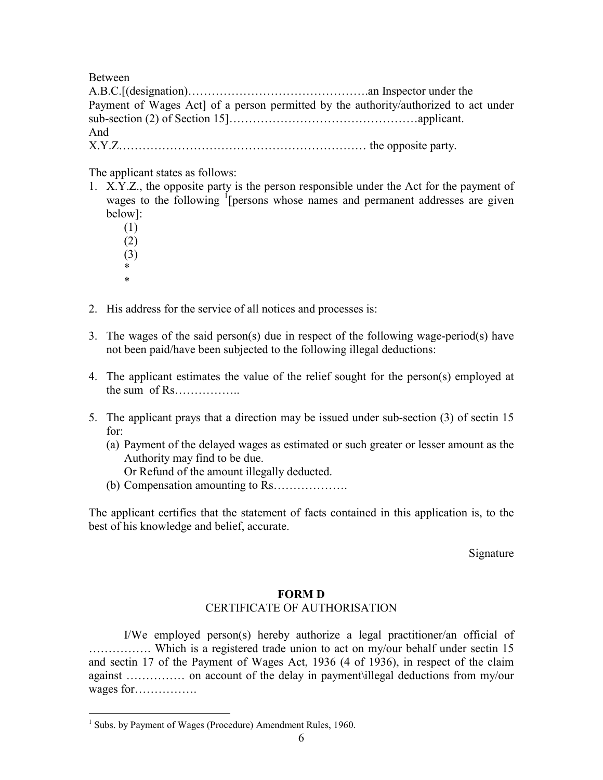Between

| Payment of Wages Act] of a person permitted by the authority/authorized to act under |  |
|--------------------------------------------------------------------------------------|--|
|                                                                                      |  |
| And                                                                                  |  |
|                                                                                      |  |

The applicant states as follows:

- 1. X.Y.Z., the opposite party is the person responsible under the Act for the payment of wages to the following <sup>I</sup> [persons whose names and permanent addresses are given below]:
	- (1) (2) (3)
- \* \*

 $\overline{a}$ 

- 2. His address for the service of all notices and processes is:
- 3. The wages of the said person(s) due in respect of the following wage-period(s) have not been paid/have been subjected to the following illegal deductions:
- 4. The applicant estimates the value of the relief sought for the person(s) employed at the sum of Rs……………..
- 5. The applicant prays that a direction may be issued under sub-section (3) of sectin 15 for:
	- (a) Payment of the delayed wages as estimated or such greater or lesser amount as the Authority may find to be due.

Or Refund of the amount illegally deducted.

(b) Compensation amounting to Rs……………….

The applicant certifies that the statement of facts contained in this application is, to the best of his knowledge and belief, accurate.

Signature

## FORM D

## CERTIFICATE OF AUTHORISATION

 I/We employed person(s) hereby authorize a legal practitioner/an official of ……………. Which is a registered trade union to act on my/our behalf under sectin 15 and sectin 17 of the Payment of Wages Act, 1936 (4 of 1936), in respect of the claim against …………… on account of the delay in payment\illegal deductions from my/our wages for…………….

<sup>&</sup>lt;sup>1</sup> Subs. by Payment of Wages (Procedure) Amendment Rules, 1960.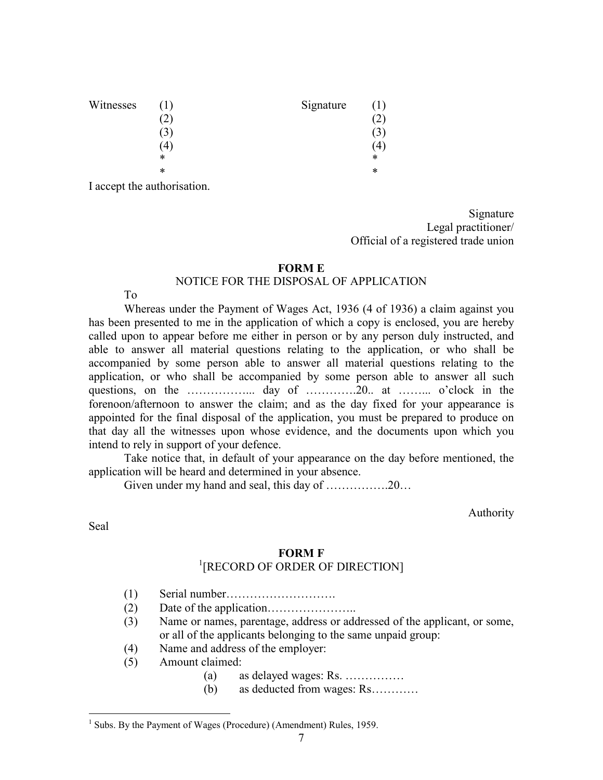| Witnesses | $\perp$        | Signature |   |
|-----------|----------------|-----------|---|
|           | $^{\prime}2$ , |           |   |
|           | 3              |           |   |
|           | 4              |           | 4 |
|           | *              |           | * |
|           | *              |           | * |
|           |                |           |   |

I accept the authorisation.

Signature Legal practitioner/ Official of a registered trade union

#### FORM E

#### NOTICE FOR THE DISPOSAL OF APPLICATION

#### To

 Whereas under the Payment of Wages Act, 1936 (4 of 1936) a claim against you has been presented to me in the application of which a copy is enclosed, you are hereby called upon to appear before me either in person or by any person duly instructed, and able to answer all material questions relating to the application, or who shall be accompanied by some person able to answer all material questions relating to the application, or who shall be accompanied by some person able to answer all such questions, on the ……………….. day of …………...20... at ……….. o'clock in the forenoon/afternoon to answer the claim; and as the day fixed for your appearance is appointed for the final disposal of the application, you must be prepared to produce on that day all the witnesses upon whose evidence, and the documents upon which you intend to rely in support of your defence.

 Take notice that, in default of your appearance on the day before mentioned, the application will be heard and determined in your absence.

Given under my hand and seal, this day of …………….20…

Authority

Seal

 $\overline{a}$ 

#### FORM F

# 1 [RECORD OF ORDER OF DIRECTION]

- (1) Serial number……………………….
- (2) Date of the application…………………..
- (3) Name or names, parentage, address or addressed of the applicant, or some, or all of the applicants belonging to the same unpaid group:
- (4) Name and address of the employer:
- (5) Amount claimed:
	- (a) as delayed wages: Rs. ……………
	- (b) as deducted from wages: Rs…………

<sup>&</sup>lt;sup>1</sup> Subs. By the Payment of Wages (Procedure) (Amendment) Rules, 1959.